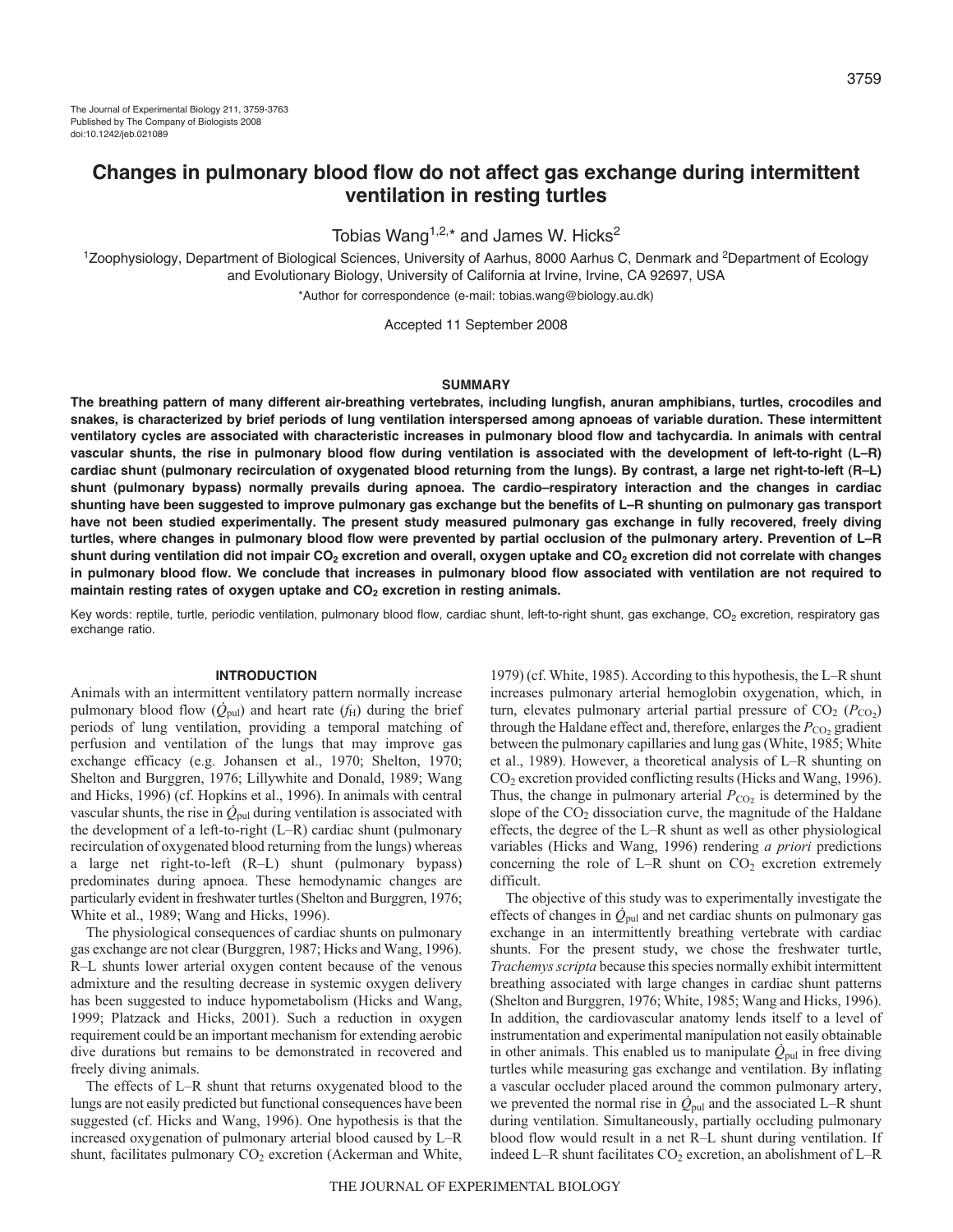# **Changes in pulmonary blood flow do not affect gas exchange during intermittent ventilation in resting turtles**

Tobias Wang<sup>1,2,\*</sup> and James W. Hicks<sup>2</sup>

<sup>1</sup>Zoophysiology, Department of Biological Sciences, University of Aarhus, 8000 Aarhus C, Denmark and <sup>2</sup>Department of Ecology and Evolutionary Biology, University of California at Irvine, Irvine, CA 92697, USA \*Author for correspondence (e-mail: tobias.wang@biology.au.dk)

Accepted 11 September 2008

## **SUMMARY**

**The breathing pattern of many different air-breathing vertebrates, including lungfish, anuran amphibians, turtles, crocodiles and snakes, is characterized by brief periods of lung ventilation interspersed among apnoeas of variable duration. These intermittent ventilatory cycles are associated with characteristic increases in pulmonary blood flow and tachycardia. In animals with central vascular shunts, the rise in pulmonary blood flow during ventilation is associated with the development of left-to-right (L–R) cardiac shunt (pulmonary recirculation of oxygenated blood returning from the lungs). By contrast, a large net right-to-left (R–L) shunt (pulmonary bypass) normally prevails during apnoea. The cardio–respiratory interaction and the changes in cardiac shunting have been suggested to improve pulmonary gas exchange but the benefits of L–R shunting on pulmonary gas transport have not been studied experimentally. The present study measured pulmonary gas exchange in fully recovered, freely diving turtles, where changes in pulmonary blood flow were prevented by partial occlusion of the pulmonary artery. Prevention of L–R shunt during ventilation did not impair CO2 excretion and overall, oxygen uptake and CO2 excretion did not correlate with changes in pulmonary blood flow. We conclude that increases in pulmonary blood flow associated with ventilation are not required to** maintain resting rates of oxygen uptake and CO<sub>2</sub> excretion in resting animals.

Key words: reptile, turtle, periodic ventilation, pulmonary blood flow, cardiac shunt, left-to-right shunt, gas exchange, CO<sub>2</sub> excretion, respiratory gas exchange ratio.

# **INTRODUCTION**

Animals with an intermittent ventilatory pattern normally increase pulmonary blood flow  $(Q_{\text{pul}})$  and heart rate  $(f_{\text{H}})$  during the brief periods of lung ventilation, providing a temporal matching of perfusion and ventilation of the lungs that may improve gas exchange efficacy (e.g. Johansen et al., 1970; Shelton, 1970; Shelton and Burggren, 1976; Lillywhite and Donald, 1989; Wang and Hicks, 1996) (cf. Hopkins et al., 1996). In animals with central vascular shunts, the rise in  $\dot{Q}_{\text{pul}}$  during ventilation is associated with the development of a left-to-right (L–R) cardiac shunt (pulmonary recirculation of oxygenated blood returning from the lungs) whereas a large net right-to-left (R–L) shunt (pulmonary bypass) predominates during apnoea. These hemodynamic changes are particularly evident in freshwater turtles (Shelton and Burggren, 1976; White et al., 1989; Wang and Hicks, 1996).

The physiological consequences of cardiac shunts on pulmonary gas exchange are not clear (Burggren, 1987; Hicks and Wang, 1996). R–L shunts lower arterial oxygen content because of the venous admixture and the resulting decrease in systemic oxygen delivery has been suggested to induce hypometabolism (Hicks and Wang, 1999; Platzack and Hicks, 2001). Such a reduction in oxygen requirement could be an important mechanism for extending aerobic dive durations but remains to be demonstrated in recovered and freely diving animals.

The effects of L–R shunt that returns oxygenated blood to the lungs are not easily predicted but functional consequences have been suggested (cf. Hicks and Wang, 1996). One hypothesis is that the increased oxygenation of pulmonary arterial blood caused by L–R shunt, facilitates pulmonary  $CO<sub>2</sub>$  excretion (Ackerman and White,

1979) (cf. White, 1985). According to this hypothesis, the L–R shunt increases pulmonary arterial hemoglobin oxygenation, which, in turn, elevates pulmonary arterial partial pressure of  $CO<sub>2</sub> (P<sub>CO<sub>2</sub>)</sub>$ through the Haldane effect and, therefore, enlarges the  $P_{\text{CO}_2}$  gradient between the pulmonary capillaries and lung gas (White, 1985; White et al., 1989). However, a theoretical analysis of L–R shunting on CO2 excretion provided conflicting results (Hicks and Wang, 1996). Thus, the change in pulmonary arterial  $P_{CO_2}$  is determined by the slope of the  $CO<sub>2</sub>$  dissociation curve, the magnitude of the Haldane effects, the degree of the L–R shunt as well as other physiological variables (Hicks and Wang, 1996) rendering *a priori* predictions concerning the role of L–R shunt on  $CO<sub>2</sub>$  excretion extremely difficult.

The objective of this study was to experimentally investigate the effects of changes in  $\dot{Q}_{\text{pul}}$  and net cardiac shunts on pulmonary gas exchange in an intermittently breathing vertebrate with cardiac shunts. For the present study, we chose the freshwater turtle, *Trachemys scripta* because this species normally exhibit intermittent breathing associated with large changes in cardiac shunt patterns (Shelton and Burggren, 1976; White, 1985; Wang and Hicks, 1996). In addition, the cardiovascular anatomy lends itself to a level of instrumentation and experimental manipulation not easily obtainable in other animals. This enabled us to manipulate  $\dot{Q}_{\text{pul}}$  in free diving turtles while measuring gas exchange and ventilation. By inflating a vascular occluder placed around the common pulmonary artery, we prevented the normal rise in  $\dot{Q}_{\text{pul}}$  and the associated L–R shunt during ventilation. Simultaneously, partially occluding pulmonary blood flow would result in a net R–L shunt during ventilation. If indeed L–R shunt facilitates  $CO_2$  excretion, an abolishment of L–R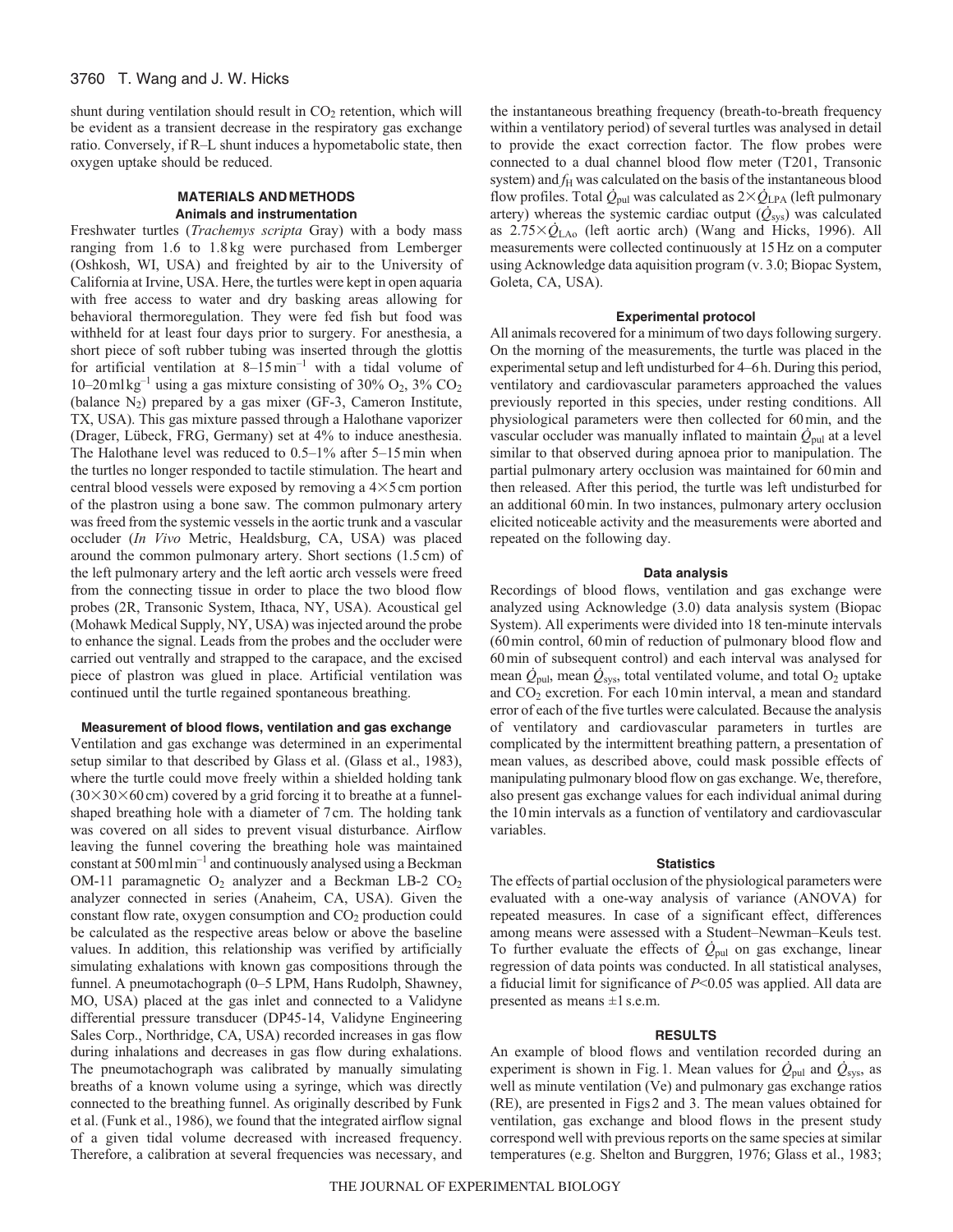shunt during ventilation should result in  $CO<sub>2</sub>$  retention, which will be evident as a transient decrease in the respiratory gas exchange ratio. Conversely, if R–L shunt induces a hypometabolic state, then oxygen uptake should be reduced.

## **MATERIALS ANDMETHODS Animals and instrumentation**

Freshwater turtles (*Trachemys scripta* Gray) with a body mass ranging from 1.6 to 1.8 kg were purchased from Lemberger (Oshkosh, WI, USA) and freighted by air to the University of California at Irvine, USA. Here, the turtles were kept in open aquaria with free access to water and dry basking areas allowing for behavioral thermoregulation. They were fed fish but food was withheld for at least four days prior to surgery. For anesthesia, a short piece of soft rubber tubing was inserted through the glottis for artificial ventilation at  $8-15$  min<sup>-1</sup> with a tidal volume of 10–20 ml kg<sup>-1</sup> using a gas mixture consisting of 30%  $O_2$ , 3%  $CO_2$ (balance  $N_2$ ) prepared by a gas mixer (GF-3, Cameron Institute, TX, USA). This gas mixture passed through a Halothane vaporizer (Drager, Lübeck, FRG, Germany) set at 4% to induce anesthesia. The Halothane level was reduced to 0.5–1% after 5–15min when the turtles no longer responded to tactile stimulation. The heart and central blood vessels were exposed by removing a  $4\times5$  cm portion of the plastron using a bone saw. The common pulmonary artery was freed from the systemic vessels in the aortic trunk and a vascular occluder (*In Vivo* Metric, Healdsburg, CA, USA) was placed around the common pulmonary artery. Short sections (1.5cm) of the left pulmonary artery and the left aortic arch vessels were freed from the connecting tissue in order to place the two blood flow probes (2R, Transonic System, Ithaca, NY, USA). Acoustical gel (Mohawk Medical Supply, NY, USA) was injected around the probe to enhance the signal. Leads from the probes and the occluder were carried out ventrally and strapped to the carapace, and the excised piece of plastron was glued in place. Artificial ventilation was continued until the turtle regained spontaneous breathing.

## **Measurement of blood flows, ventilation and gas exchange**

Ventilation and gas exchange was determined in an experimental setup similar to that described by Glass et al. (Glass et al., 1983), where the turtle could move freely within a shielded holding tank  $(30\times30\times60\,\text{cm})$  covered by a grid forcing it to breathe at a funnelshaped breathing hole with a diameter of 7cm. The holding tank was covered on all sides to prevent visual disturbance. Airflow leaving the funnel covering the breathing hole was maintained constant at 500mlmin–1 and continuously analysed using a Beckman OM-11 paramagnetic  $O_2$  analyzer and a Beckman LB-2  $CO_2$ analyzer connected in series (Anaheim, CA, USA). Given the constant flow rate, oxygen consumption and  $CO<sub>2</sub>$  production could be calculated as the respective areas below or above the baseline values. In addition, this relationship was verified by artificially simulating exhalations with known gas compositions through the funnel. A pneumotachograph (0–5 LPM, Hans Rudolph, Shawney, MO, USA) placed at the gas inlet and connected to a Validyne differential pressure transducer (DP45-14, Validyne Engineering Sales Corp., Northridge, CA, USA) recorded increases in gas flow during inhalations and decreases in gas flow during exhalations. The pneumotachograph was calibrated by manually simulating breaths of a known volume using a syringe, which was directly connected to the breathing funnel. As originally described by Funk et al. (Funk et al., 1986), we found that the integrated airflow signal of a given tidal volume decreased with increased frequency. Therefore, a calibration at several frequencies was necessary, and the instantaneous breathing frequency (breath-to-breath frequency within a ventilatory period) of several turtles was analysed in detail to provide the exact correction factor. The flow probes were connected to a dual channel blood flow meter (T201, Transonic system) and  $f<sub>H</sub>$  was calculated on the basis of the instantaneous blood flow profiles. Total  $\dot{Q}_{\mathrm{pul}}$  was calculated as  $2\times \dot{Q}_{\mathrm{LPA}}$  (left pulmonary artery) whereas the systemic cardiac output (*Q*sys) was calculated as 2.75-*Q*LAo (left aortic arch) (Wang and Hicks, 1996). All measurements were collected continuously at 15Hz on a computer using Acknowledge data aquisition program (v. 3.0; Biopac System, Goleta, CA, USA).

## **Experimental protocol**

All animals recovered for a minimum of two days following surgery. On the morning of the measurements, the turtle was placed in the experimental setup and left undisturbed for 4–6h. During this period, ventilatory and cardiovascular parameters approached the values previously reported in this species, under resting conditions. All physiological parameters were then collected for 60min, and the vascular occluder was manually inflated to maintain  $\dot{Q}_{\text{pul}}$  at a level similar to that observed during apnoea prior to manipulation. The partial pulmonary artery occlusion was maintained for 60min and then released. After this period, the turtle was left undisturbed for an additional 60min. In two instances, pulmonary artery occlusion elicited noticeable activity and the measurements were aborted and repeated on the following day.

#### **Data analysis**

Recordings of blood flows, ventilation and gas exchange were analyzed using Acknowledge (3.0) data analysis system (Biopac System). All experiments were divided into 18 ten-minute intervals (60min control, 60min of reduction of pulmonary blood flow and 60min of subsequent control) and each interval was analysed for mean  $\dot{Q}_{\text{pul}}$ , mean  $\dot{Q}_{\text{sys}}$ , total ventilated volume, and total  $O_2$  uptake and CO<sub>2</sub> excretion. For each 10 min interval, a mean and standard error of each of the five turtles were calculated. Because the analysis of ventilatory and cardiovascular parameters in turtles are complicated by the intermittent breathing pattern, a presentation of mean values, as described above, could mask possible effects of manipulating pulmonary blood flow on gas exchange. We, therefore, also present gas exchange values for each individual animal during the 10min intervals as a function of ventilatory and cardiovascular variables.

#### **Statistics**

The effects of partial occlusion of the physiological parameters were evaluated with a one-way analysis of variance (ANOVA) for repeated measures. In case of a significant effect, differences among means were assessed with a Student–Newman–Keuls test. To further evaluate the effects of  $\dot{Q}_{\text{pul}}$  on gas exchange, linear regression of data points was conducted. In all statistical analyses, a fiducial limit for significance of *P*<0.05 was applied. All data are presented as means ±1s.e.m.

### **RESULTS**

An example of blood flows and ventilation recorded during an experiment is shown in Fig.1. Mean values for  $\dot{Q}_{\text{pul}}$  and  $\dot{Q}_{\text{sys}}$ , as well as minute ventilation (Ve) and pulmonary gas exchange ratios (RE), are presented in Figs2 and 3. The mean values obtained for ventilation, gas exchange and blood flows in the present study correspond well with previous reports on the same species at similar temperatures (e.g. Shelton and Burggren, 1976; Glass et al., 1983;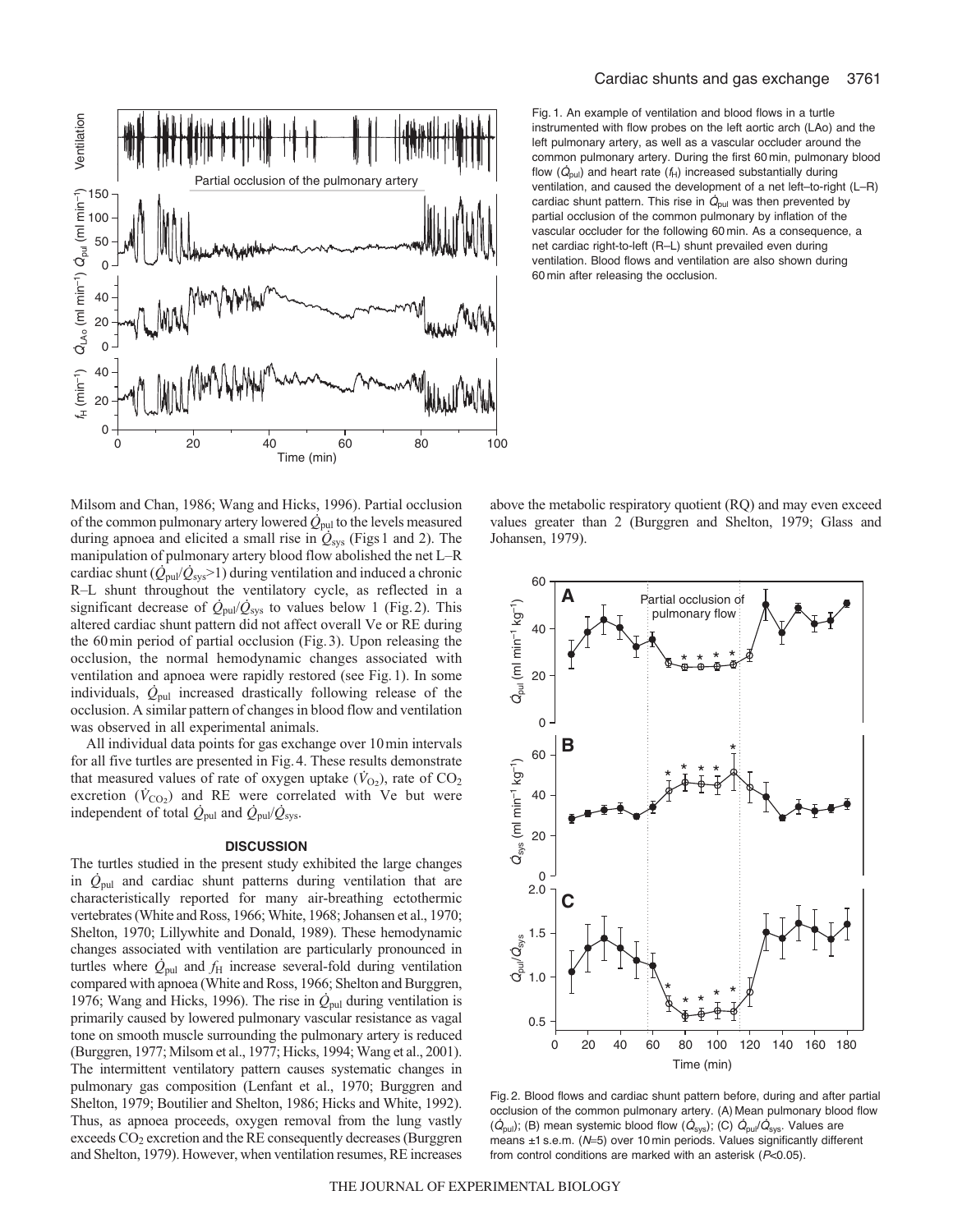

Cardiac shunts and gas exchange 3761

Fig. 1. An example of ventilation and blood flows in a turtle instrumented with flow probes on the left aortic arch (LAo) and the left pulmonary artery, as well as a vascular occluder around the common pulmonary artery. During the first 60 min, pulmonary blood flow  $(\dot{Q}_{\text{pul}})$  and heart rate  $(f_H)$  increased substantially during ventilation, and caused the development of a net left–to-right (L–R) cardiac shunt pattern. This rise in  $\dot{Q}_{\text{pul}}$  was then prevented by partial occlusion of the common pulmonary by inflation of the vascular occluder for the following 60 min. As a consequence, a net cardiac right-to-left (R–L) shunt prevailed even during ventilation. Blood flows and ventilation are also shown during 60 min after releasing the occlusion.

Milsom and Chan, 1986; Wang and Hicks, 1996). Partial occlusion of the common pulmonary artery lowered  $\dot{Q}_{\text{pul}}$  to the levels measured during apnoea and elicited a small rise in  $\dot{Q}_{sys}$  (Figs 1 and 2). The manipulation of pulmonary artery blood flow abolished the net L–R cardiac shunt  $(\dot{Q}_{\text{pul}}/\dot{Q}_{\text{sys}} > 1)$  during ventilation and induced a chronic R–L shunt throughout the ventilatory cycle, as reflected in a significant decrease of  $\dot{Q}_{\text{pul}}/\dot{Q}_{\text{sys}}$  to values below 1 (Fig. 2). This altered cardiac shunt pattern did not affect overall Ve or RE during the 60min period of partial occlusion (Fig.3). Upon releasing the occlusion, the normal hemodynamic changes associated with ventilation and apnoea were rapidly restored (see Fig.1). In some individuals, *Q*pul increased drastically following release of the occlusion. A similar pattern of changes in blood flow and ventilation was observed in all experimental animals.

All individual data points for gas exchange over 10min intervals for all five turtles are presented in Fig.4. These results demonstrate that measured values of rate of oxygen uptake  $(\dot{V}_{O_2})$ , rate of  $CO_2$ excretion  $(\dot{V}_{CO_2})$  and RE were correlated with Ve but were independent of total  $\dot{Q}_{\text{pul}}$  and  $\dot{Q}_{\text{pul}}/\dot{Q}_{\text{sys}}$ .

#### **DISCUSSION**

The turtles studied in the present study exhibited the large changes in  $\dot{Q}_{\text{pul}}$  and cardiac shunt patterns during ventilation that are characteristically reported for many air-breathing ectothermic vertebrates (White and Ross, 1966; White, 1968; Johansen et al., 1970; Shelton, 1970; Lillywhite and Donald, 1989). These hemodynamic changes associated with ventilation are particularly pronounced in turtles where  $\dot{Q}_{\text{pul}}$  and  $f_{\text{H}}$  increase several-fold during ventilation compared with apnoea (White and Ross, 1966; Shelton and Burggren, 1976; Wang and Hicks, 1996). The rise in  $\dot{Q}_{\text{pul}}$  during ventilation is primarily caused by lowered pulmonary vascular resistance as vagal tone on smooth muscle surrounding the pulmonary artery is reduced (Burggren, 1977; Milsom et al., 1977; Hicks, 1994; Wang et al., 2001). The intermittent ventilatory pattern causes systematic changes in pulmonary gas composition (Lenfant et al., 1970; Burggren and Shelton, 1979; Boutilier and Shelton, 1986; Hicks and White, 1992). Thus, as apnoea proceeds, oxygen removal from the lung vastly exceeds  $CO<sub>2</sub>$  excretion and the RE consequently decreases (Burggren and Shelton, 1979). However, when ventilation resumes, RE increases

above the metabolic respiratory quotient (RQ) and may even exceed values greater than 2 (Burggren and Shelton, 1979; Glass and Johansen, 1979).



Fig. 2. Blood flows and cardiac shunt pattern before, during and after partial occlusion of the common pulmonary artery. (A) Mean pulmonary blood flow  $(\dot{Q}_{pul})$ ; (B) mean systemic blood flow  $(\dot{Q}_{sys})$ ; (C)  $\dot{Q}_{pul}/\dot{Q}_{sys}$ . Values are means ±1 s.e.m. (N=5) over 10 min periods. Values significantly different from control conditions are marked with an asterisk (P<0.05).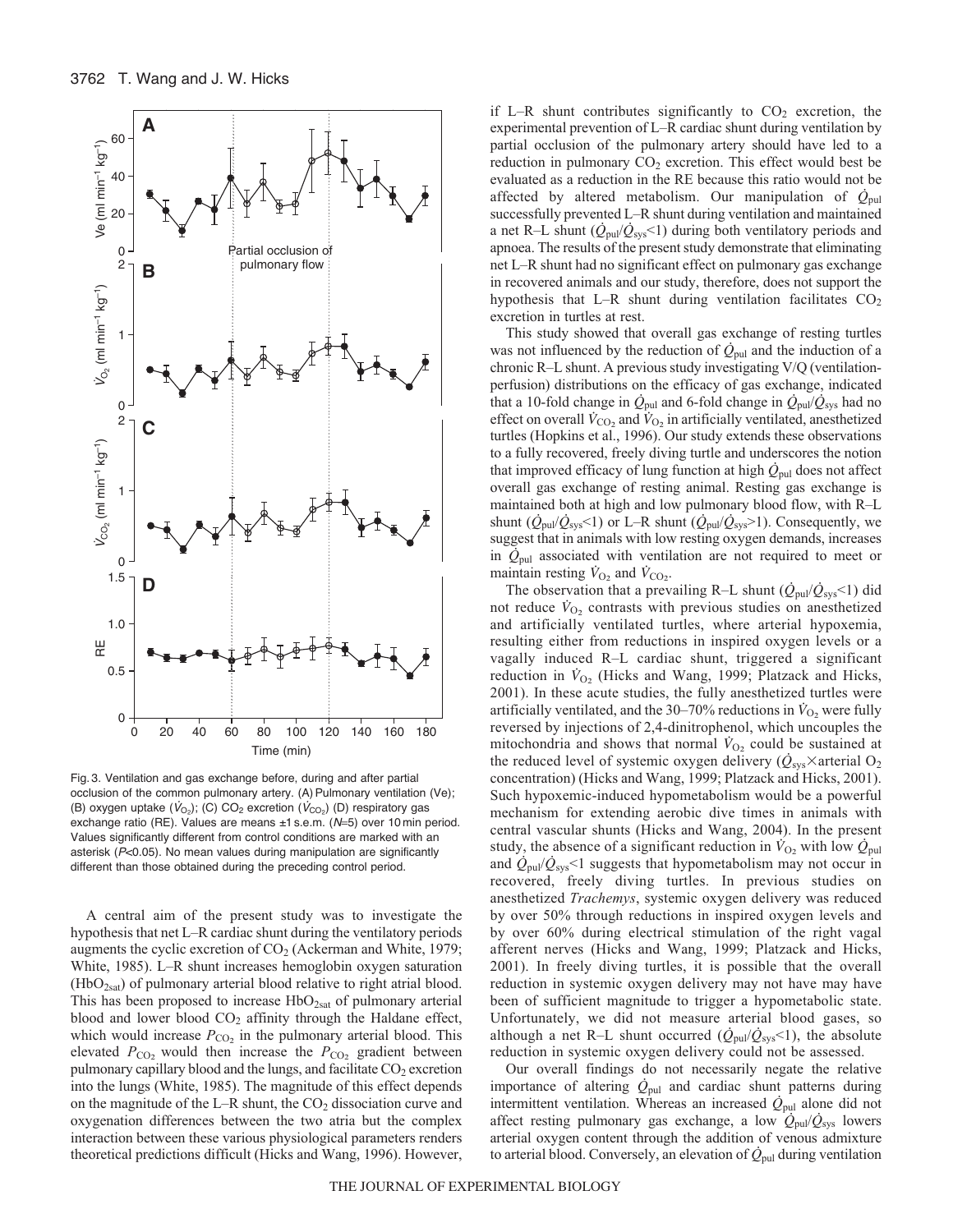

Fig. 3. Ventilation and gas exchange before, during and after partial occlusion of the common pulmonary artery. (A) Pulmonary ventilation (Ve); (B) oxygen uptake  $(\dot{V}_{\text{O}_2})$ ; (C) CO<sub>2</sub> excretion  $(\dot{V}_{\text{CO}_2})$  (D) respiratory gas exchange ratio (RE). Values are means ±1 s.e.m. (N=5) over 10 min period. Values significantly different from control conditions are marked with an asterisk (P<0.05). No mean values during manipulation are significantly different than those obtained during the preceding control period.

A central aim of the present study was to investigate the hypothesis that net L–R cardiac shunt during the ventilatory periods augments the cyclic excretion of  $CO<sub>2</sub>$  (Ackerman and White, 1979; White, 1985). L–R shunt increases hemoglobin oxygen saturation (HbO2sat) of pulmonary arterial blood relative to right atrial blood. This has been proposed to increase  $HbO_{2sat}$  of pulmonary arterial blood and lower blood  $CO<sub>2</sub>$  affinity through the Haldane effect, which would increase  $P_{CO_2}$  in the pulmonary arterial blood. This elevated  $P_{\text{CO}_2}$  would then increase the  $P_{\text{CO}_2}$  gradient between pulmonary capillary blood and the lungs, and facilitate  $CO<sub>2</sub>$  excretion into the lungs (White, 1985). The magnitude of this effect depends on the magnitude of the L–R shunt, the  $CO<sub>2</sub>$  dissociation curve and oxygenation differences between the two atria but the complex interaction between these various physiological parameters renders theoretical predictions difficult (Hicks and Wang, 1996). However, if L–R shunt contributes significantly to  $CO<sub>2</sub>$  excretion, the experimental prevention of L–R cardiac shunt during ventilation by partial occlusion of the pulmonary artery should have led to a reduction in pulmonary  $CO<sub>2</sub>$  excretion. This effect would best be evaluated as a reduction in the RE because this ratio would not be affected by altered metabolism. Our manipulation of  $\dot{Q}_{\text{pul}}$ successfully prevented L–R shunt during ventilation and maintained a net R–L shunt  $(Q_{\text{pul}}/Q_{\text{sys}}<1)$  during both ventilatory periods and apnoea. The results of the present study demonstrate that eliminating net L–R shunt had no significant effect on pulmonary gas exchange in recovered animals and our study, therefore, does not support the hypothesis that L–R shunt during ventilation facilitates  $CO<sub>2</sub>$ excretion in turtles at rest.

This study showed that overall gas exchange of resting turtles was not influenced by the reduction of  $\dot{Q}_{\text{pul}}$  and the induction of a chronic R–L shunt. A previous study investigating V/Q (ventilationperfusion) distributions on the efficacy of gas exchange, indicated that a 10-fold change in  $\dot{Q}_{\text{pul}}$  and 6-fold change in  $\dot{Q}_{\text{pul}}/\dot{Q}_{\text{sys}}$  had no effect on overall  $\dot{V}_{\text{CO}_2}$  and  $\dot{V}_{\text{O}_2}$  in artificially ventilated, anesthetized turtles (Hopkins et al., 1996). Our study extends these observations to a fully recovered, freely diving turtle and underscores the notion that improved efficacy of lung function at high  $\dot{Q}_{\text{pul}}$  does not affect overall gas exchange of resting animal. Resting gas exchange is maintained both at high and low pulmonary blood flow, with R–L shunt  $(\dot{Q}_{\text{pul}}/\dot{Q}_{\text{sys}}<1)$  or L–R shunt  $(\dot{Q}_{\text{pul}}/\dot{Q}_{\text{sys}}>1)$ . Consequently, we suggest that in animals with low resting oxygen demands, increases in  $\dot{Q}_{\text{pul}}$  associated with ventilation are not required to meet or maintain resting  $\dot{V}_{\text{O}_2}$  and  $\dot{V}_{\text{CO}_2}$ .

The observation that a prevailing R–L shunt  $(\dot{Q}_{\text{pul}}/\dot{Q}_{\text{sys}}<1)$  did not reduce  $\dot{V}_{O_2}$  contrasts with previous studies on anesthetized and artificially ventilated turtles, where arterial hypoxemia, resulting either from reductions in inspired oxygen levels or a vagally induced R–L cardiac shunt, triggered a significant reduction in  $\dot{V}_{O_2}$  (Hicks and Wang, 1999; Platzack and Hicks, 2001). In these acute studies, the fully anesthetized turtles were artificially ventilated, and the 30–70% reductions in  $\dot{V}_{O_2}$  were fully reversed by injections of 2,4-dinitrophenol, which uncouples the mitochondria and shows that normal  $\dot{V}_{O_2}$  could be sustained at the reduced level of systemic oxygen delivery ( $\dot{Q}_{\rm sys}$  × arterial O<sub>2</sub> concentration) (Hicks and Wang, 1999; Platzack and Hicks, 2001). Such hypoxemic-induced hypometabolism would be a powerful mechanism for extending aerobic dive times in animals with central vascular shunts (Hicks and Wang, 2004). In the present study, the absence of a significant reduction in  $\dot{V}_{\text{O}_2}$  with low  $\dot{Q}_{\text{pul}}$ and  $\dot{Q}_{\text{pul}}/\dot{Q}_{\text{sys}}$ <1 suggests that hypometabolism may not occur in recovered, freely diving turtles. In previous studies on anesthetized *Trachemys*, systemic oxygen delivery was reduced by over 50% through reductions in inspired oxygen levels and by over 60% during electrical stimulation of the right vagal afferent nerves (Hicks and Wang, 1999; Platzack and Hicks, 2001). In freely diving turtles, it is possible that the overall reduction in systemic oxygen delivery may not have may have been of sufficient magnitude to trigger a hypometabolic state. Unfortunately, we did not measure arterial blood gases, so although a net R–L shunt occurred  $(\dot{Q}_{\text{pul}}/\dot{Q}_{\text{sys}}<1)$ , the absolute reduction in systemic oxygen delivery could not be assessed.

Our overall findings do not necessarily negate the relative importance of altering  $\dot{Q}_{\text{pul}}$  and cardiac shunt patterns during intermittent ventilation. Whereas an increased  $\dot{Q}_{\text{pul}}$  alone did not affect resting pulmonary gas exchange, a low *Q*pul/*Q*sys lowers arterial oxygen content through the addition of venous admixture to arterial blood. Conversely, an elevation of  $\dot{Q}_{\text{pul}}$  during ventilation